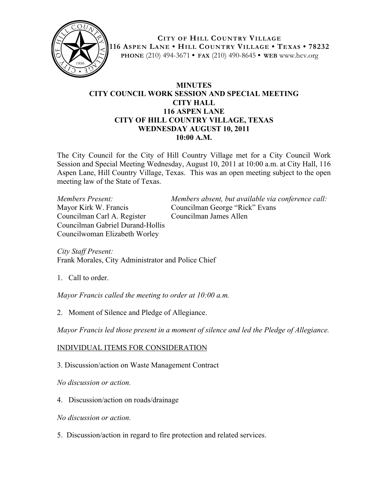

**CITY OF HILL COUNTRY VILLAGE 116 ASPEN LANE • HILL COUNTRY VILLAGE • TEXAS • 78232 PHONE** (210) 494-3671 **• FAX** (210) 490-8645 **• WEB** www.hcv.org

## **MINUTES CITY COUNCIL WORK SESSION AND SPECIAL MEETING CITY HALL 116 ASPEN LANE CITY OF HILL COUNTRY VILLAGE, TEXAS WEDNESDAY AUGUST 10, 2011 10:00 A.M.**

The City Council for the City of Hill Country Village met for a City Council Work Session and Special Meeting Wednesday, August 10, 2011 at 10:00 a.m. at City Hall, 116 Aspen Lane, Hill Country Village, Texas. This was an open meeting subject to the open meeting law of the State of Texas.

Mayor Kirk W. Francis Councilman George "Rick" Evans Councilman Carl A. Register Councilman James Allen Councilman Gabriel Durand-Hollis Councilwoman Elizabeth Worley

*Members Present: Members absent, but available via conference call:*

*City Staff Present:* Frank Morales, City Administrator and Police Chief

1. Call to order.

*Mayor Francis called the meeting to order at 10:00 a.m.*

2. Moment of Silence and Pledge of Allegiance.

*Mayor Francis led those present in a moment of silence and led the Pledge of Allegiance.*

## INDIVIDUAL ITEMS FOR CONSIDERATION

3. Discussion/action on Waste Management Contract

*No discussion or action.*

- 4. Discussion/action on roads/drainage
- *No discussion or action.*
- 5. Discussion/action in regard to fire protection and related services.